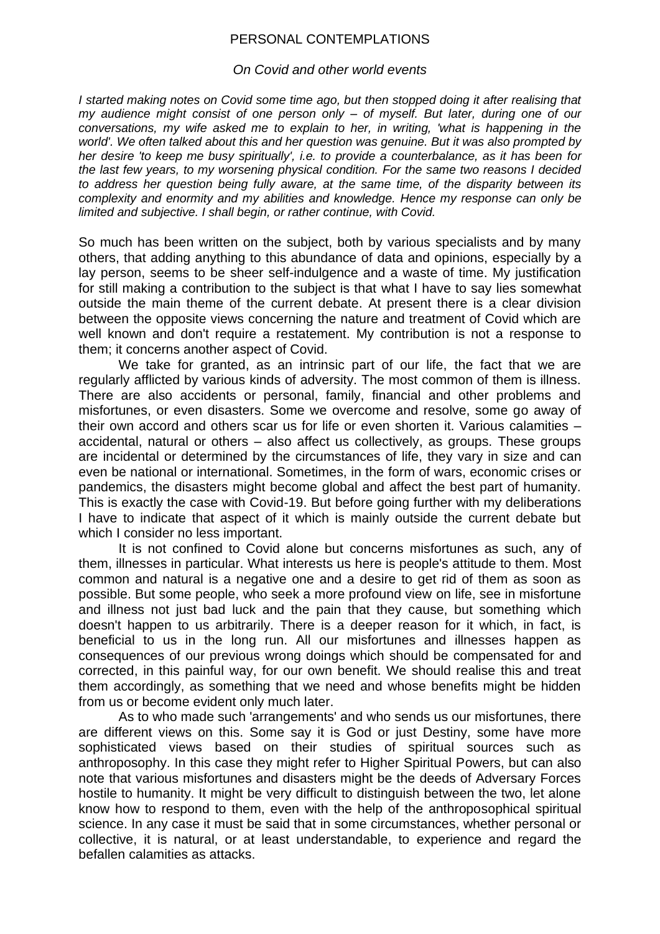## PERSONAL CONTEMPLATIONS

## *On Covid and other world events*

*I started making notes on Covid some time ago, but then stopped doing it after realising that my audience might consist of one person only – of myself. But later, during one of our conversations, my wife asked me to explain to her, in writing, 'what is happening in the world'. We often talked about this and her question was genuine. But it was also prompted by her desire 'to keep me busy spiritually', i.e. to provide a counterbalance, as it has been for the last few years, to my worsening physical condition. For the same two reasons I decided to address her question being fully aware, at the same time, of the disparity between its complexity and enormity and my abilities and knowledge. Hence my response can only be limited and subjective. I shall begin, or rather continue, with Covid.*

So much has been written on the subject, both by various specialists and by many others, that adding anything to this abundance of data and opinions, especially by a lay person, seems to be sheer self-indulgence and a waste of time. My justification for still making a contribution to the subject is that what I have to say lies somewhat outside the main theme of the current debate. At present there is a clear division between the opposite views concerning the nature and treatment of Covid which are well known and don't require a restatement. My contribution is not a response to them; it concerns another aspect of Covid.

We take for granted, as an intrinsic part of our life, the fact that we are regularly afflicted by various kinds of adversity. The most common of them is illness. There are also accidents or personal, family, financial and other problems and misfortunes, or even disasters. Some we overcome and resolve, some go away of their own accord and others scar us for life or even shorten it. Various calamities – accidental, natural or others – also affect us collectively, as groups. These groups are incidental or determined by the circumstances of life, they vary in size and can even be national or international. Sometimes, in the form of wars, economic crises or pandemics, the disasters might become global and affect the best part of humanity. This is exactly the case with Covid-19. But before going further with my deliberations I have to indicate that aspect of it which is mainly outside the current debate but which I consider no less important.

It is not confined to Covid alone but concerns misfortunes as such, any of them, illnesses in particular. What interests us here is people's attitude to them. Most common and natural is a negative one and a desire to get rid of them as soon as possible. But some people, who seek a more profound view on life, see in misfortune and illness not just bad luck and the pain that they cause, but something which doesn't happen to us arbitrarily. There is a deeper reason for it which, in fact, is beneficial to us in the long run. All our misfortunes and illnesses happen as consequences of our previous wrong doings which should be compensated for and corrected, in this painful way, for our own benefit. We should realise this and treat them accordingly, as something that we need and whose benefits might be hidden from us or become evident only much later.

As to who made such 'arrangements' and who sends us our misfortunes, there are different views on this. Some say it is God or just Destiny, some have more sophisticated views based on their studies of spiritual sources such as anthroposophy. In this case they might refer to Higher Spiritual Powers, but can also note that various misfortunes and disasters might be the deeds of Adversary Forces hostile to humanity. It might be very difficult to distinguish between the two, let alone know how to respond to them, even with the help of the anthroposophical spiritual science. In any case it must be said that in some circumstances, whether personal or collective, it is natural, or at least understandable, to experience and regard the befallen calamities as attacks.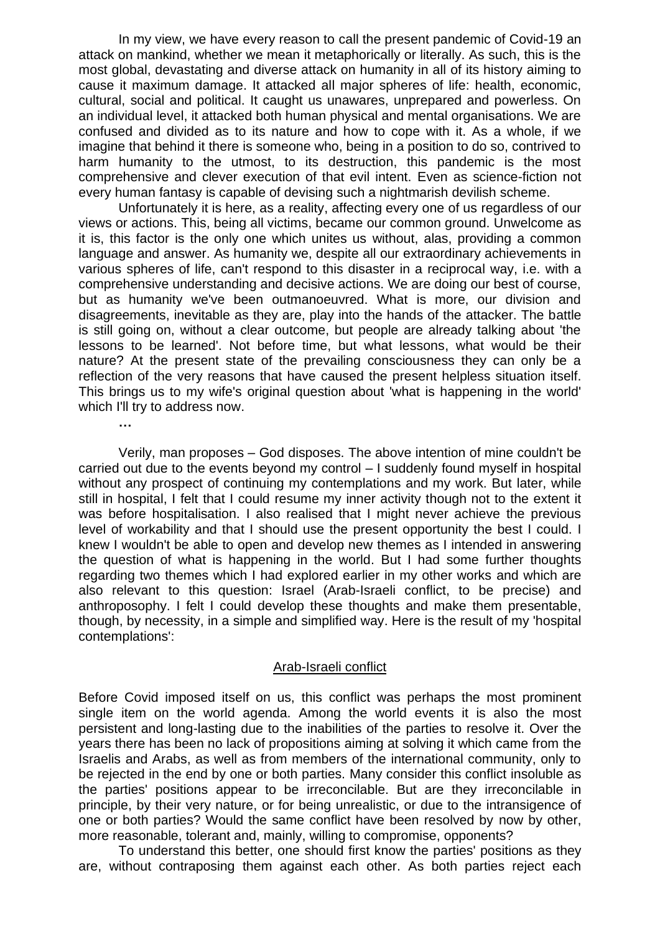In my view, we have every reason to call the present pandemic of Covid-19 an attack on mankind, whether we mean it metaphorically or literally. As such, this is the most global, devastating and diverse attack on humanity in all of its history aiming to cause it maximum damage. It attacked all major spheres of life: health, economic, cultural, social and political. It caught us unawares, unprepared and powerless. On an individual level, it attacked both human physical and mental organisations. We are confused and divided as to its nature and how to cope with it. As a whole, if we imagine that behind it there is someone who, being in a position to do so, contrived to harm humanity to the utmost, to its destruction, this pandemic is the most comprehensive and clever execution of that evil intent. Even as science-fiction not every human fantasy is capable of devising such a nightmarish devilish scheme.

Unfortunately it is here, as a reality, affecting every one of us regardless of our views or actions. This, being all victims, became our common ground. Unwelcome as it is, this factor is the only one which unites us without, alas, providing a common language and answer. As humanity we, despite all our extraordinary achievements in various spheres of life, can't respond to this disaster in a reciprocal way, i.e. with a comprehensive understanding and decisive actions. We are doing our best of course, but as humanity we've been outmanoeuvred. What is more, our division and disagreements, inevitable as they are, play into the hands of the attacker. The battle is still going on, without a clear outcome, but people are already talking about 'the lessons to be learned'. Not before time, but what lessons, what would be their nature? At the present state of the prevailing consciousness they can only be a reflection of the very reasons that have caused the present helpless situation itself. This brings us to my wife's original question about 'what is happening in the world' which I'll try to address now.

**…**

Verily, man proposes – God disposes. The above intention of mine couldn't be carried out due to the events beyond my control – I suddenly found myself in hospital without any prospect of continuing my contemplations and my work. But later, while still in hospital, I felt that I could resume my inner activity though not to the extent it was before hospitalisation. I also realised that I might never achieve the previous level of workability and that I should use the present opportunity the best I could. I knew I wouldn't be able to open and develop new themes as I intended in answering the question of what is happening in the world. But I had some further thoughts regarding two themes which I had explored earlier in my other works and which are also relevant to this question: Israel (Arab-Israeli conflict, to be precise) and anthroposophy. I felt I could develop these thoughts and make them presentable, though, by necessity, in a simple and simplified way. Here is the result of my 'hospital contemplations':

## Arab-Israeli conflict

Before Covid imposed itself on us, this conflict was perhaps the most prominent single item on the world agenda. Among the world events it is also the most persistent and long-lasting due to the inabilities of the parties to resolve it. Over the years there has been no lack of propositions aiming at solving it which came from the Israelis and Arabs, as well as from members of the international community, only to be rejected in the end by one or both parties. Many consider this conflict insoluble as the parties' positions appear to be irreconcilable. But are they irreconcilable in principle, by their very nature, or for being unrealistic, or due to the intransigence of one or both parties? Would the same conflict have been resolved by now by other, more reasonable, tolerant and, mainly, willing to compromise, opponents?

To understand this better, one should first know the parties' positions as they are, without contraposing them against each other. As both parties reject each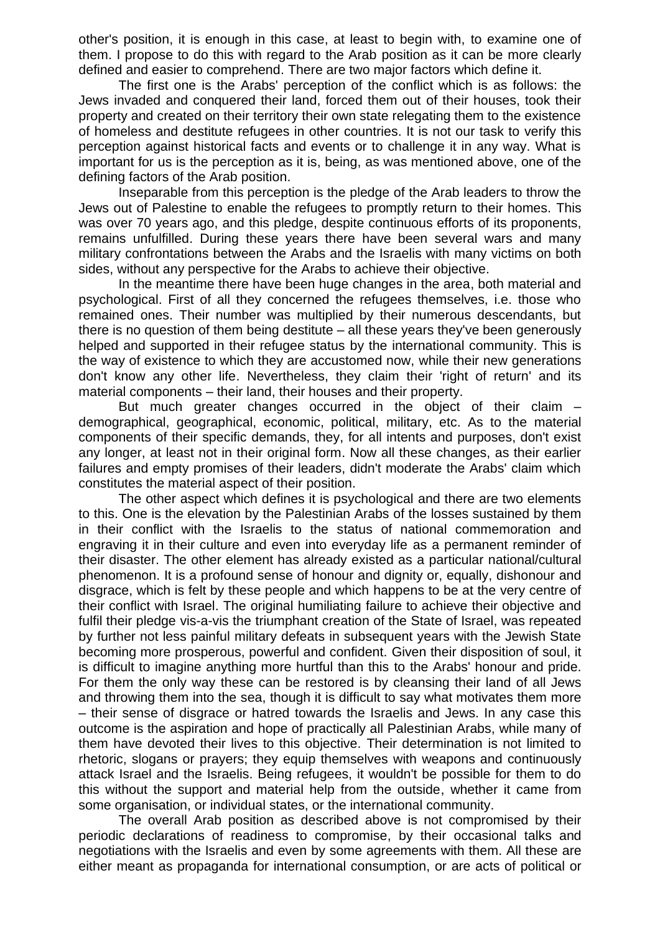other's position, it is enough in this case, at least to begin with, to examine one of them. I propose to do this with regard to the Arab position as it can be more clearly defined and easier to comprehend. There are two major factors which define it.

The first one is the Arabs' perception of the conflict which is as follows: the Jews invaded and conquered their land, forced them out of their houses, took their property and created on their territory their own state relegating them to the existence of homeless and destitute refugees in other countries. It is not our task to verify this perception against historical facts and events or to challenge it in any way. What is important for us is the perception as it is, being, as was mentioned above, one of the defining factors of the Arab position.

Inseparable from this perception is the pledge of the Arab leaders to throw the Jews out of Palestine to enable the refugees to promptly return to their homes. This was over 70 years ago, and this pledge, despite continuous efforts of its proponents, remains unfulfilled. During these years there have been several wars and many military confrontations between the Arabs and the Israelis with many victims on both sides, without any perspective for the Arabs to achieve their objective.

In the meantime there have been huge changes in the area, both material and psychological. First of all they concerned the refugees themselves, i.e. those who remained ones. Their number was multiplied by their numerous descendants, but there is no question of them being destitute – all these years they've been generously helped and supported in their refugee status by the international community. This is the way of existence to which they are accustomed now, while their new generations don't know any other life. Nevertheless, they claim their 'right of return' and its material components – their land, their houses and their property.

But much greater changes occurred in the object of their claim – demographical, geographical, economic, political, military, etc. As to the material components of their specific demands, they, for all intents and purposes, don't exist any longer, at least not in their original form. Now all these changes, as their earlier failures and empty promises of their leaders, didn't moderate the Arabs' claim which constitutes the material aspect of their position.

The other aspect which defines it is psychological and there are two elements to this. One is the elevation by the Palestinian Arabs of the losses sustained by them in their conflict with the Israelis to the status of national commemoration and engraving it in their culture and even into everyday life as a permanent reminder of their disaster. The other element has already existed as a particular national/cultural phenomenon. It is a profound sense of honour and dignity or, equally, dishonour and disgrace, which is felt by these people and which happens to be at the very centre of their conflict with Israel. The original humiliating failure to achieve their objective and fulfil their pledge vis-a-vis the triumphant creation of the State of Israel, was repeated by further not less painful military defeats in subsequent years with the Jewish State becoming more prosperous, powerful and confident. Given their disposition of soul, it is difficult to imagine anything more hurtful than this to the Arabs' honour and pride. For them the only way these can be restored is by cleansing their land of all Jews and throwing them into the sea, though it is difficult to say what motivates them more – their sense of disgrace or hatred towards the Israelis and Jews. In any case this outcome is the aspiration and hope of practically all Palestinian Arabs, while many of them have devoted their lives to this objective. Their determination is not limited to rhetoric, slogans or prayers; they equip themselves with weapons and continuously attack Israel and the Israelis. Being refugees, it wouldn't be possible for them to do this without the support and material help from the outside, whether it came from some organisation, or individual states, or the international community.

The overall Arab position as described above is not compromised by their periodic declarations of readiness to compromise, by their occasional talks and negotiations with the Israelis and even by some agreements with them. All these are either meant as propaganda for international consumption, or are acts of political or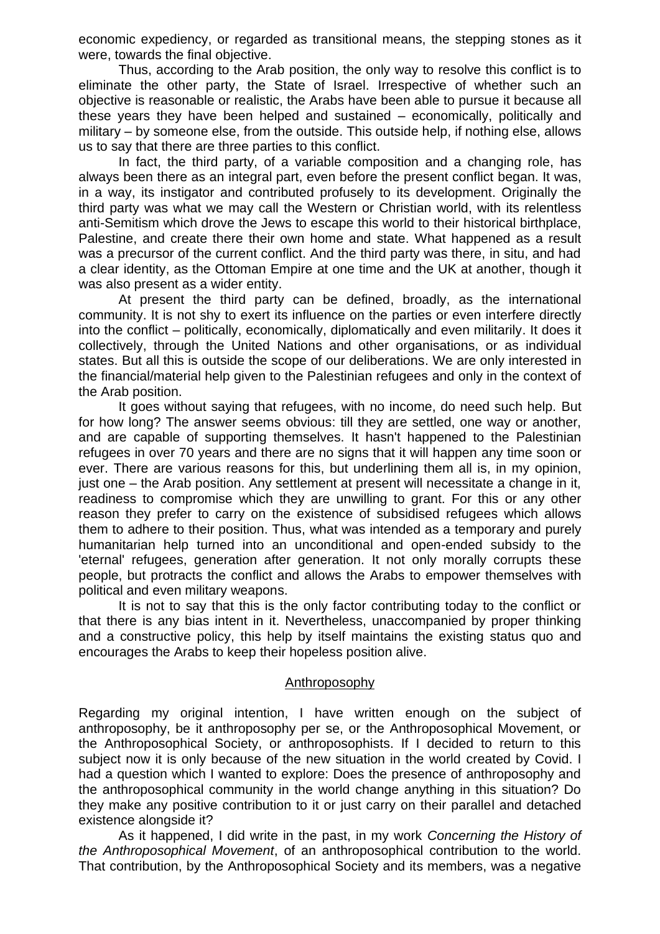economic expediency, or regarded as transitional means, the stepping stones as it were, towards the final objective.

Thus, according to the Arab position, the only way to resolve this conflict is to eliminate the other party, the State of Israel. Irrespective of whether such an objective is reasonable or realistic, the Arabs have been able to pursue it because all these years they have been helped and sustained – economically, politically and military – by someone else, from the outside. This outside help, if nothing else, allows us to say that there are three parties to this conflict.

In fact, the third party, of a variable composition and a changing role, has always been there as an integral part, even before the present conflict began. It was, in a way, its instigator and contributed profusely to its development. Originally the third party was what we may call the Western or Christian world, with its relentless anti-Semitism which drove the Jews to escape this world to their historical birthplace, Palestine, and create there their own home and state. What happened as a result was a precursor of the current conflict. And the third party was there, in situ, and had a clear identity, as the Ottoman Empire at one time and the UK at another, though it was also present as a wider entity.

At present the third party can be defined, broadly, as the international community. It is not shy to exert its influence on the parties or even interfere directly into the conflict – politically, economically, diplomatically and even militarily. It does it collectively, through the United Nations and other organisations, or as individual states. But all this is outside the scope of our deliberations. We are only interested in the financial/material help given to the Palestinian refugees and only in the context of the Arab position.

It goes without saying that refugees, with no income, do need such help. But for how long? The answer seems obvious: till they are settled, one way or another, and are capable of supporting themselves. It hasn't happened to the Palestinian refugees in over 70 years and there are no signs that it will happen any time soon or ever. There are various reasons for this, but underlining them all is, in my opinion, just one – the Arab position. Any settlement at present will necessitate a change in it, readiness to compromise which they are unwilling to grant. For this or any other reason they prefer to carry on the existence of subsidised refugees which allows them to adhere to their position. Thus, what was intended as a temporary and purely humanitarian help turned into an unconditional and open-ended subsidy to the 'eternal' refugees, generation after generation. It not only morally corrupts these people, but protracts the conflict and allows the Arabs to empower themselves with political and even military weapons.

It is not to say that this is the only factor contributing today to the conflict or that there is any bias intent in it. Nevertheless, unaccompanied by proper thinking and a constructive policy, this help by itself maintains the existing status quo and encourages the Arabs to keep their hopeless position alive.

## Anthroposophy

Regarding my original intention, I have written enough on the subject of anthroposophy, be it anthroposophy per se, or the Anthroposophical Movement, or the Anthroposophical Society, or anthroposophists. If I decided to return to this subject now it is only because of the new situation in the world created by Covid. I had a question which I wanted to explore: Does the presence of anthroposophy and the anthroposophical community in the world change anything in this situation? Do they make any positive contribution to it or just carry on their parallel and detached existence alongside it?

As it happened, I did write in the past, in my work *Concerning the History of the Anthroposophical Movement*, of an anthroposophical contribution to the world. That contribution, by the Anthroposophical Society and its members, was a negative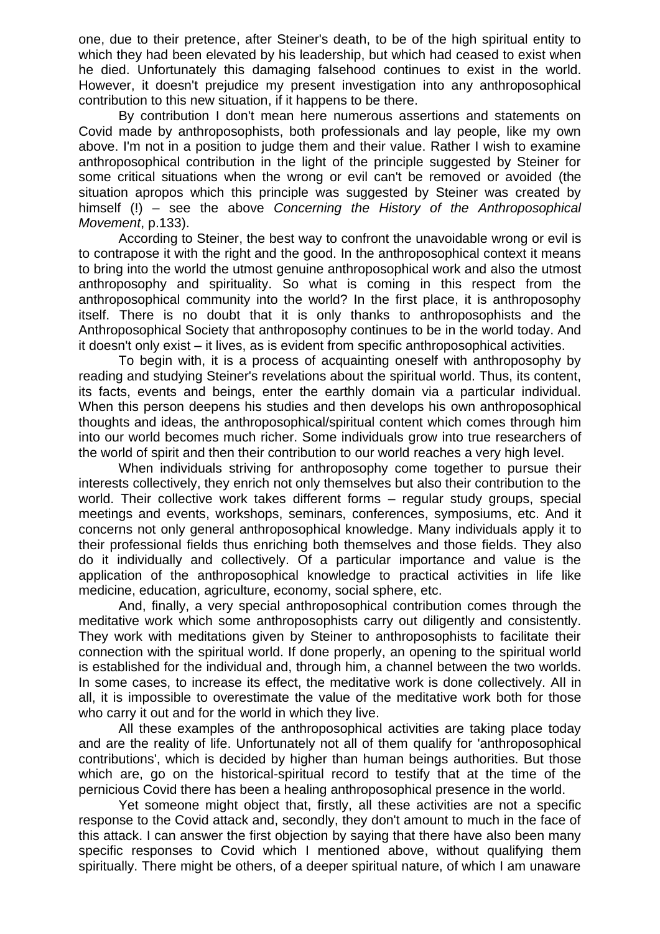one, due to their pretence, after Steiner's death, to be of the high spiritual entity to which they had been elevated by his leadership, but which had ceased to exist when he died. Unfortunately this damaging falsehood continues to exist in the world. However, it doesn't prejudice my present investigation into any anthroposophical contribution to this new situation, if it happens to be there.

By contribution I don't mean here numerous assertions and statements on Covid made by anthroposophists, both professionals and lay people, like my own above. I'm not in a position to judge them and their value. Rather I wish to examine anthroposophical contribution in the light of the principle suggested by Steiner for some critical situations when the wrong or evil can't be removed or avoided (the situation apropos which this principle was suggested by Steiner was created by himself (!) – see the above *Concerning the History of the Anthroposophical Movement*, p.133).

According to Steiner, the best way to confront the unavoidable wrong or evil is to contrapose it with the right and the good. In the anthroposophical context it means to bring into the world the utmost genuine anthroposophical work and also the utmost anthroposophy and spirituality. So what is coming in this respect from the anthroposophical community into the world? In the first place, it is anthroposophy itself. There is no doubt that it is only thanks to anthroposophists and the Anthroposophical Society that anthroposophy continues to be in the world today. And it doesn't only exist – it lives, as is evident from specific anthroposophical activities.

To begin with, it is a process of acquainting oneself with anthroposophy by reading and studying Steiner's revelations about the spiritual world. Thus, its content, its facts, events and beings, enter the earthly domain via a particular individual. When this person deepens his studies and then develops his own anthroposophical thoughts and ideas, the anthroposophical/spiritual content which comes through him into our world becomes much richer. Some individuals grow into true researchers of the world of spirit and then their contribution to our world reaches a very high level.

When individuals striving for anthroposophy come together to pursue their interests collectively, they enrich not only themselves but also their contribution to the world. Their collective work takes different forms – regular study groups, special meetings and events, workshops, seminars, conferences, symposiums, etc. And it concerns not only general anthroposophical knowledge. Many individuals apply it to their professional fields thus enriching both themselves and those fields. They also do it individually and collectively. Of a particular importance and value is the application of the anthroposophical knowledge to practical activities in life like medicine, education, agriculture, economy, social sphere, etc.

And, finally, a very special anthroposophical contribution comes through the meditative work which some anthroposophists carry out diligently and consistently. They work with meditations given by Steiner to anthroposophists to facilitate their connection with the spiritual world. If done properly, an opening to the spiritual world is established for the individual and, through him, a channel between the two worlds. In some cases, to increase its effect, the meditative work is done collectively. All in all, it is impossible to overestimate the value of the meditative work both for those who carry it out and for the world in which they live.

All these examples of the anthroposophical activities are taking place today and are the reality of life. Unfortunately not all of them qualify for 'anthroposophical contributions', which is decided by higher than human beings authorities. But those which are, go on the historical-spiritual record to testify that at the time of the pernicious Covid there has been a healing anthroposophical presence in the world.

Yet someone might object that, firstly, all these activities are not a specific response to the Covid attack and, secondly, they don't amount to much in the face of this attack. I can answer the first objection by saying that there have also been many specific responses to Covid which I mentioned above, without qualifying them spiritually. There might be others, of a deeper spiritual nature, of which I am unaware